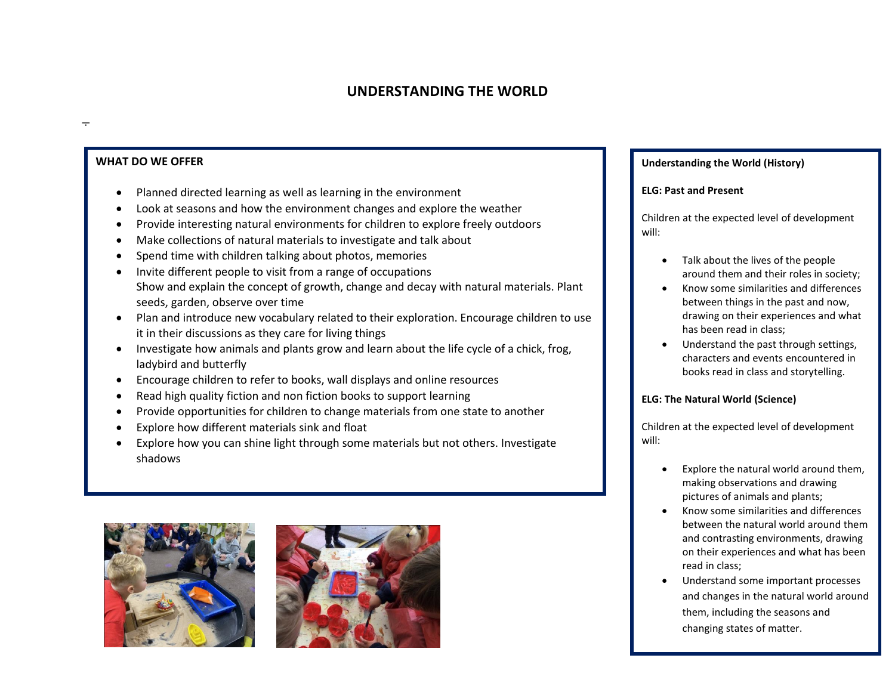## **UNDERSTANDING THE WORLD**

### **WHAT DO WE OFFER**

- Planned directed learning as well as learning in the environment
- Look at seasons and how the environment changes and explore the weather
- Provide interesting natural environments for children to explore freely outdoors
- Make collections of natural materials to investigate and talk about
- Spend time with children talking about photos, memories
- Invite different people to visit from a range of occupations Show and explain the concept of growth, change and decay with natural materials. Plant seeds, garden, observe over time
- Plan and introduce new vocabulary related to their exploration. Encourage children to use it in their discussions as they care for living things
- Investigate how animals and plants grow and learn about the life cycle of a chick, frog, ladybird and butterfly
- Encourage children to refer to books, wall displays and online resources
- Read high quality fiction and non fiction books to support learning
- Provide opportunities for children to change materials from one state to another
- Explore how different materials sink and float
- Explore how you can shine light through some materials but not others. Investigate shadows





#### **Understanding the World (History)**

#### **ELG: Past and Present**

Children at the expected level of development will:

- Talk about the lives of the people around them and their roles in society;
- Know some similarities and differences between things in the past and now, drawing on their experiences and what has been read in class;
- Understand the past through settings, characters and events encountered in books read in class and storytelling.

#### **ELG: The Natural World (Science)**

Children at the expected level of development will:

- Explore the natural world around them, making observations and drawing pictures of animals and plants;
- Know some similarities and differences between the natural world around them and contrasting environments, drawing on their experiences and what has been read in class;
- Understand some important processes and changes in the natural world around them, including the seasons and changing states of matter.